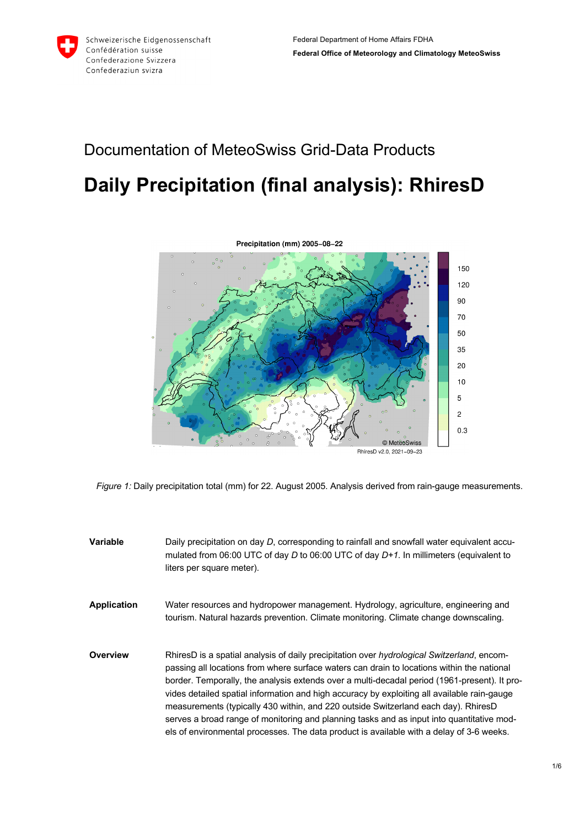# Documentation of MeteoSwiss Grid-Data Products

# **Daily Precipitation (final analysis): RhiresD**



*Figure 1:* Daily precipitation total (mm) for 22. August 2005. Analysis derived from rain-gauge measurements.

- **Variable** Daily precipitation on day *D*, corresponding to rainfall and snowfall water equivalent accumulated from 06:00 UTC of day *D* to 06:00 UTC of day *D+1*. In millimeters (equivalent to liters per square meter).
- **Application** Water resources and hydropower management. Hydrology, agriculture, engineering and tourism. Natural hazards prevention. Climate monitoring. Climate change downscaling.
- **Overview** RhiresD is a spatial analysis of daily precipitation over *hydrological Switzerland*, encompassing all locations from where surface waters can drain to locations within the national border. Temporally, the analysis extends over a multi-decadal period (1961-present). It provides detailed spatial information and high accuracy by exploiting all available rain-gauge measurements (typically 430 within, and 220 outside Switzerland each day). RhiresD serves a broad range of monitoring and planning tasks and as input into quantitative models of environmental processes. The data product is available with a delay of 3-6 weeks.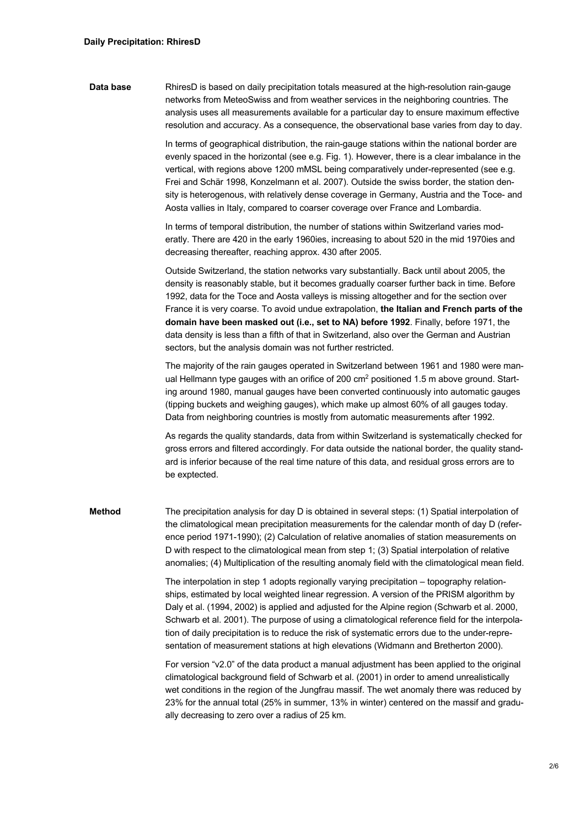**Data base** RhiresD is based on daily precipitation totals measured at the high-resolution rain-gauge networks from MeteoSwiss and from weather services in the neighboring countries. The analysis uses all measurements available for a particular day to ensure maximum effective resolution and accuracy. As a consequence, the observational base varies from day to day.

> In terms of geographical distribution, the rain-gauge stations within the national border are evenly spaced in the horizontal (see e.g. Fig. 1). However, there is a clear imbalance in the vertical, with regions above 1200 mMSL being comparatively under-represented (see e.g. Frei and Schär 1998, Konzelmann et al. 2007). Outside the swiss border, the station density is heterogenous, with relatively dense coverage in Germany, Austria and the Toce- and Aosta vallies in Italy, compared to coarser coverage over France and Lombardia.

In terms of temporal distribution, the number of stations within Switzerland varies moderatly. There are 420 in the early 1960ies, increasing to about 520 in the mid 1970ies and decreasing thereafter, reaching approx. 430 after 2005.

Outside Switzerland, the station networks vary substantially. Back until about 2005, the density is reasonably stable, but it becomes gradually coarser further back in time. Before 1992, data for the Toce and Aosta valleys is missing altogether and for the section over France it is very coarse. To avoid undue extrapolation, **the Italian and French parts of the domain have been masked out (i.e., set to NA) before 1992**. Finally, before 1971, the data density is less than a fifth of that in Switzerland, also over the German and Austrian sectors, but the analysis domain was not further restricted.

The majority of the rain gauges operated in Switzerland between 1961 and 1980 were manual Hellmann type gauges with an orifice of 200 cm<sup>2</sup> positioned 1.5 m above ground. Starting around 1980, manual gauges have been converted continuously into automatic gauges (tipping buckets and weighing gauges), which make up almost 60% of all gauges today. Data from neighboring countries is mostly from automatic measurements after 1992.

As regards the quality standards, data from within Switzerland is systematically checked for gross errors and filtered accordingly. For data outside the national border, the quality standard is inferior because of the real time nature of this data, and residual gross errors are to be exptected.

**Method** The precipitation analysis for day D is obtained in several steps: (1) Spatial interpolation of the climatological mean precipitation measurements for the calendar month of day D (reference period 1971-1990); (2) Calculation of relative anomalies of station measurements on D with respect to the climatological mean from step 1; (3) Spatial interpolation of relative anomalies; (4) Multiplication of the resulting anomaly field with the climatological mean field.

> The interpolation in step 1 adopts regionally varying precipitation – topography relationships, estimated by local weighted linear regression. A version of the PRISM algorithm by Daly et al. (1994, 2002) is applied and adjusted for the Alpine region (Schwarb et al. 2000, Schwarb et al. 2001). The purpose of using a climatological reference field for the interpolation of daily precipitation is to reduce the risk of systematic errors due to the under-representation of measurement stations at high elevations (Widmann and Bretherton 2000).

> For version "v2.0" of the data product a manual adjustment has been applied to the original climatological background field of Schwarb et al. (2001) in order to amend unrealistically wet conditions in the region of the Jungfrau massif. The wet anomaly there was reduced by 23% for the annual total (25% in summer, 13% in winter) centered on the massif and gradually decreasing to zero over a radius of 25 km.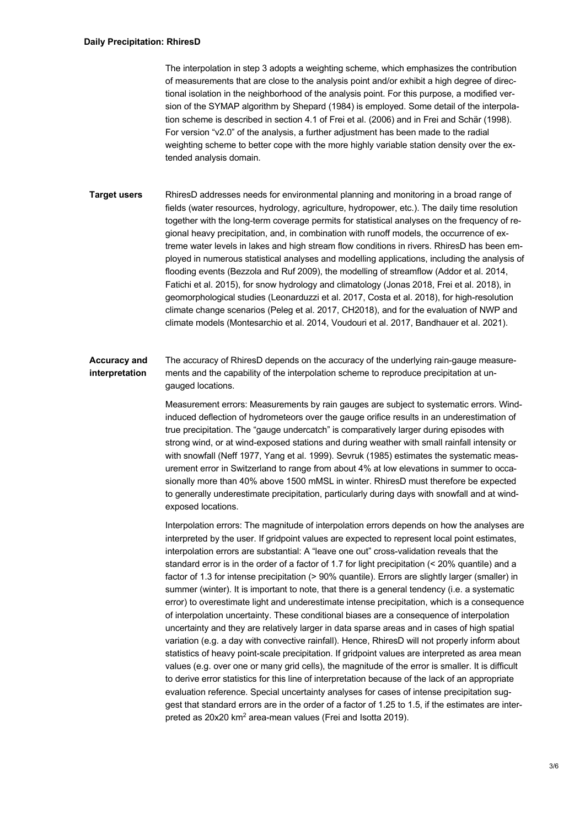The interpolation in step 3 adopts a weighting scheme, which emphasizes the contribution of measurements that are close to the analysis point and/or exhibit a high degree of directional isolation in the neighborhood of the analysis point. For this purpose, a modified version of the SYMAP algorithm by Shepard (1984) is employed. Some detail of the interpolation scheme is described in section 4.1 of Frei et al. (2006) and in Frei and Schär (1998). For version "v2.0" of the analysis, a further adjustment has been made to the radial weighting scheme to better cope with the more highly variable station density over the extended analysis domain.

**Target users** RhiresD addresses needs for environmental planning and monitoring in a broad range of fields (water resources, hydrology, agriculture, hydropower, etc.). The daily time resolution together with the long-term coverage permits for statistical analyses on the frequency of regional heavy precipitation, and, in combination with runoff models, the occurrence of extreme water levels in lakes and high stream flow conditions in rivers. RhiresD has been employed in numerous statistical analyses and modelling applications, including the analysis of flooding events (Bezzola and Ruf 2009), the modelling of streamflow (Addor et al. 2014, Fatichi et al. 2015), for snow hydrology and climatology (Jonas 2018, Frei et al. 2018), in geomorphological studies (Leonarduzzi et al. 2017, Costa et al. 2018), for high-resolution climate change scenarios (Peleg et al. 2017, CH2018), and for the evaluation of NWP and climate models (Montesarchio et al. 2014, Voudouri et al. 2017, Bandhauer et al. 2021).

#### **Accuracy and interpretation** The accuracy of RhiresD depends on the accuracy of the underlying rain-gauge measurements and the capability of the interpolation scheme to reproduce precipitation at ungauged locations.

Measurement errors: Measurements by rain gauges are subject to systematic errors. Windinduced deflection of hydrometeors over the gauge orifice results in an underestimation of true precipitation. The "gauge undercatch" is comparatively larger during episodes with strong wind, or at wind-exposed stations and during weather with small rainfall intensity or with snowfall (Neff 1977, Yang et al. 1999). Sevruk (1985) estimates the systematic measurement error in Switzerland to range from about 4% at low elevations in summer to occasionally more than 40% above 1500 mMSL in winter. RhiresD must therefore be expected to generally underestimate precipitation, particularly during days with snowfall and at windexposed locations.

Interpolation errors: The magnitude of interpolation errors depends on how the analyses are interpreted by the user. If gridpoint values are expected to represent local point estimates, interpolation errors are substantial: A "leave one out" cross-validation reveals that the standard error is in the order of a factor of 1.7 for light precipitation (< 20% quantile) and a factor of 1.3 for intense precipitation (> 90% quantile). Errors are slightly larger (smaller) in summer (winter). It is important to note, that there is a general tendency (i.e. a systematic error) to overestimate light and underestimate intense precipitation, which is a consequence of interpolation uncertainty. These conditional biases are a consequence of interpolation uncertainty and they are relatively larger in data sparse areas and in cases of high spatial variation (e.g. a day with convective rainfall). Hence, RhiresD will not properly inform about statistics of heavy point-scale precipitation. If gridpoint values are interpreted as area mean values (e.g. over one or many grid cells), the magnitude of the error is smaller. It is difficult to derive error statistics for this line of interpretation because of the lack of an appropriate evaluation reference. Special uncertainty analyses for cases of intense precipitation suggest that standard errors are in the order of a factor of 1.25 to 1.5, if the estimates are interpreted as 20x20 km2 area-mean values (Frei and Isotta 2019).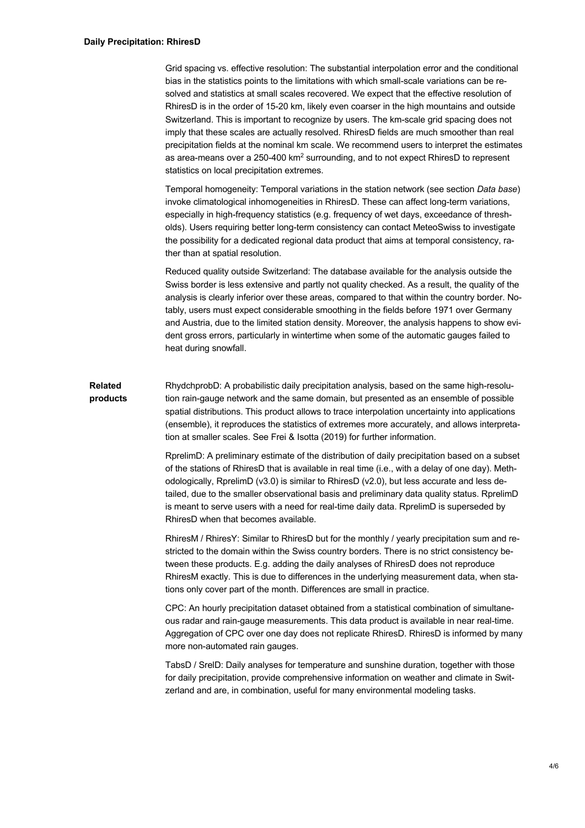Grid spacing vs. effective resolution: The substantial interpolation error and the conditional bias in the statistics points to the limitations with which small-scale variations can be resolved and statistics at small scales recovered. We expect that the effective resolution of RhiresD is in the order of 15-20 km, likely even coarser in the high mountains and outside Switzerland. This is important to recognize by users. The km-scale grid spacing does not imply that these scales are actually resolved. RhiresD fields are much smoother than real precipitation fields at the nominal km scale. We recommend users to interpret the estimates as area-means over a  $250-400 \text{ km}^2$  surrounding, and to not expect RhiresD to represent statistics on local precipitation extremes.

Temporal homogeneity: Temporal variations in the station network (see section *Data base*) invoke climatological inhomogeneities in RhiresD. These can affect long-term variations, especially in high-frequency statistics (e.g. frequency of wet days, exceedance of thresholds). Users requiring better long-term consistency can contact MeteoSwiss to investigate the possibility for a dedicated regional data product that aims at temporal consistency, rather than at spatial resolution.

Reduced quality outside Switzerland: The database available for the analysis outside the Swiss border is less extensive and partly not quality checked. As a result, the quality of the analysis is clearly inferior over these areas, compared to that within the country border. Notably, users must expect considerable smoothing in the fields before 1971 over Germany and Austria, due to the limited station density. Moreover, the analysis happens to show evident gross errors, particularly in wintertime when some of the automatic gauges failed to heat during snowfall.

**Related products** RhydchprobD: A probabilistic daily precipitation analysis, based on the same high-resolution rain-gauge network and the same domain, but presented as an ensemble of possible spatial distributions. This product allows to trace interpolation uncertainty into applications (ensemble), it reproduces the statistics of extremes more accurately, and allows interpretation at smaller scales. See Frei & Isotta (2019) for further information.

> RprelimD: A preliminary estimate of the distribution of daily precipitation based on a subset of the stations of RhiresD that is available in real time (i.e., with a delay of one day). Methodologically, RprelimD (v3.0) is similar to RhiresD (v2.0), but less accurate and less detailed, due to the smaller observational basis and preliminary data quality status. RprelimD is meant to serve users with a need for real-time daily data. RprelimD is superseded by RhiresD when that becomes available.

> RhiresM / RhiresY: Similar to RhiresD but for the monthly / yearly precipitation sum and restricted to the domain within the Swiss country borders. There is no strict consistency between these products. E.g. adding the daily analyses of RhiresD does not reproduce RhiresM exactly. This is due to differences in the underlying measurement data, when stations only cover part of the month. Differences are small in practice.

> CPC: An hourly precipitation dataset obtained from a statistical combination of simultaneous radar and rain-gauge measurements. This data product is available in near real-time. Aggregation of CPC over one day does not replicate RhiresD. RhiresD is informed by many more non-automated rain gauges.

TabsD / SrelD: Daily analyses for temperature and sunshine duration, together with those for daily precipitation, provide comprehensive information on weather and climate in Switzerland and are, in combination, useful for many environmental modeling tasks.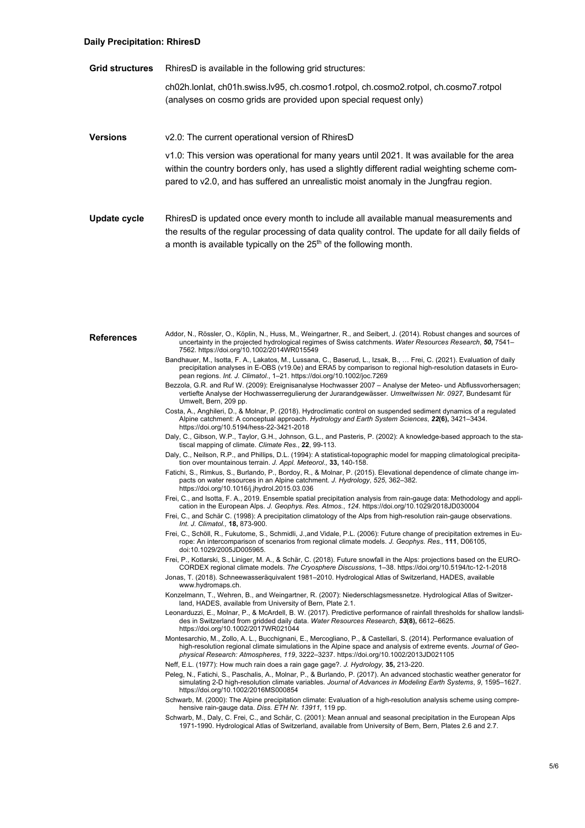## **Daily Precipitation: RhiresD**

**Grid structures** RhiresD is available in the following grid structures:

ch02h.lonlat, ch01h.swiss.lv95, ch.cosmo1.rotpol, ch.cosmo2.rotpol, ch.cosmo7.rotpol (analyses on cosmo grids are provided upon special request only)

## **Versions** v2.0: The current operational version of RhiresD

v1.0: This version was operational for many years until 2021. It was available for the area within the country borders only, has used a slightly different radial weighting scheme compared to v2.0, and has suffered an unrealistic moist anomaly in the Jungfrau region.

Update cycle RhiresD is updated once every month to include all available manual measurements and the results of the regular processing of data quality control. The update for all daily fields of a month is available typically on the  $25<sup>th</sup>$  of the following month.

References Addor, N., Rössler, O., Köplin, N., Huss, M., Weingartner, R., and Seibert, J. (2014). Robust changes and sources of uncertainty in the projected hydrological regimes of Swiss catchments. *Water Resources Research*, *50***,** 7541– 7562. https://doi.org/10.1002/2014WR015549 Bandhauer, M., Isotta, F. A., Lakatos, M., Lussana, C., Baserud, L., Izsak, B., … Frei, C. (2021). Evaluation of daily precipitation analyses in E-OBS (v19.0e) and ERA5 by comparison to regional high-resolution datasets in European regions. *Int. J. Climatol.*, 1–21. https://doi.org/10.1002/joc.7269 Bezzola, G.R. and Ruf W. (2009): Ereignisanalyse Hochwasser 2007 – Analyse der Meteo- und Abflussvorhersagen; vertiefte Analyse der Hochwasserregulierung der Jurarandgewässer. *Umweltwissen Nr. 0927,* Bundesamt für Umwelt, Bern, 209 pp. Costa, A., Anghileri, D., & Molnar, P. (2018). Hydroclimatic control on suspended sediment dynamics of a regulated Alpine catchment: A conceptual approach. *Hydrology and Earth System Sciences*, *22***(6),** 3421–3434. https://doi.org/10.5194/hess-22-3421-2018 Daly, C., Gibson, W.P., Taylor, G.H., Johnson, G.L., and Pasteris, P. (2002): A knowledge-based approach to the statiscal mapping of climate. *Climate Res.*, **22**, 99-113. Daly, C., Neilson, R.P., and Phillips, D.L. (1994): A statistical-topographic model for mapping climatological precipitation over mountainous terrain. *J. Appl. Meteorol.,* **33,** 140-158. Fatichi, S., Rimkus, S., Burlando, P., Bordoy, R., & Molnar, P. (2015). Elevational dependence of climate change impacts on water resources in an Alpine catchment. *J. Hydrology*, *525*, 362–382. https://doi.org/10.1016/j.jhydrol.2015.03.036 Frei, C., and Isotta, F. A., 2019. Ensemble spatial precipitation analysis from rain-gauge data: Methodology and application in the European Alps. *J. Geophys. Res. Atmos.*, *124*. https://doi.org/10.1029/2018JD030004 Frei, C., and Schär C. (1998): A precipitation climatology of the Alps from high-resolution rain-gauge observations. *Int. J. Climatol.,* **18,** 873-900. Frei, C., Schöll, R., Fukutome, S., Schmidli, J.,and Vidale, P.L. (2006): Future change of precipitation extremes in Europe: An intercomparison of scenarios from regional climate models. *J. Geophys. Res.,* **111**, D06105, doi:10.1029/2005JD005965. Frei, P., Kotlarski, S., Liniger, M. A., & Schär, C. (2018). Future snowfall in the Alps: projections based on the EURO-CORDEX regional climate models. *The Cryosphere Discussions*, 1–38. https://doi.org/10.5194/tc-12-1-2018 Jonas, T. (2018). Schneewasseräquivalent 1981–2010. Hydrological Atlas of Switzerland, HADES, available www.hydromaps.ch. Konzelmann, T., Wehren, B., and Weingartner, R. (2007): Niederschlagsmessnetze. Hydrological Atlas of Switzerland, HADES, available from University of Bern, Plate 2.1. Leonarduzzi, E., Molnar, P., & McArdell, B. W. (2017). Predictive performance of rainfall thresholds for shallow landslides in Switzerland from gridded daily data. *Water Resources Research*, *53***(8),** 6612–6625. https://doi.org/10.1002/2017WR021044 Montesarchio, M., Zollo, A. L., Bucchignani, E., Mercogliano, P., & Castellari, S. (2014). Performance evaluation of high-resolution regional climate simulations in the Alpine space and analysis of extreme events. *Journal of Geophysical Research: Atmospheres*, *119*, 3222–3237. https://doi.org/10.1002/2013JD021105 Neff, E.L. (1977): How much rain does a rain gage gage?. *J. Hydrology,* **35,** 213-220. Peleg, N., Fatichi, S., Paschalis, A., Molnar, P., & Burlando, P. (2017). An advanced stochastic weather generator for simulating 2-D high-resolution climate variables. *Journal of Advances in Modeling Earth Systems*, *9*, 1595–1627. https://doi.org/10.1002/2016MS000854 Schwarb, M. (2000): The Alpine precipitation climate: Evaluation of a high-resolution analysis scheme using comprehensive rain-gauge data. *Diss. ETH Nr. 13911,* 119 pp. Schwarb, M., Daly, C. Frei, C., and Schär, C. (2001): Mean annual and seasonal precipitation in the European Alps 1971-1990. Hydrological Atlas of Switzerland, available from University of Bern, Bern, Plates 2.6 and 2.7.